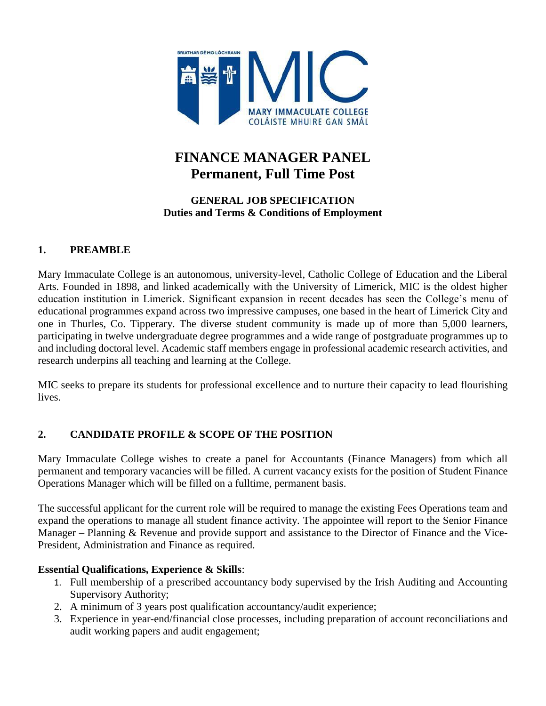

# **FINANCE MANAGER PANEL Permanent, Full Time Post**

### **GENERAL JOB SPECIFICATION Duties and Terms & Conditions of Employment**

# **1. PREAMBLE**

Mary Immaculate College is an autonomous, university-level, Catholic College of Education and the Liberal Arts. Founded in 1898, and linked academically with the University of Limerick, MIC is the oldest higher education institution in Limerick. Significant expansion in recent decades has seen the College's menu of educational programmes expand across two impressive campuses, one based in the heart of Limerick City and one in Thurles, Co. Tipperary. The diverse student community is made up of more than 5,000 learners, participating in twelve undergraduate degree programmes and a wide range of postgraduate programmes up to and including doctoral level. Academic staff members engage in professional academic research activities, and research underpins all teaching and learning at the College.

MIC seeks to prepare its students for professional excellence and to nurture their capacity to lead flourishing lives.

# **2. CANDIDATE PROFILE & SCOPE OF THE POSITION**

Mary Immaculate College wishes to create a panel for Accountants (Finance Managers) from which all permanent and temporary vacancies will be filled. A current vacancy exists for the position of Student Finance Operations Manager which will be filled on a fulltime, permanent basis.

The successful applicant for the current role will be required to manage the existing Fees Operations team and expand the operations to manage all student finance activity. The appointee will report to the Senior Finance Manager – Planning & Revenue and provide support and assistance to the Director of Finance and the Vice-President, Administration and Finance as required.

#### **Essential Qualifications, Experience & Skills**:

- 1. Full membership of a prescribed accountancy body supervised by the Irish Auditing and Accounting Supervisory Authority;
- 2. A minimum of 3 years post qualification accountancy/audit experience;
- 3. Experience in year-end/financial close processes, including preparation of account reconciliations and audit working papers and audit engagement;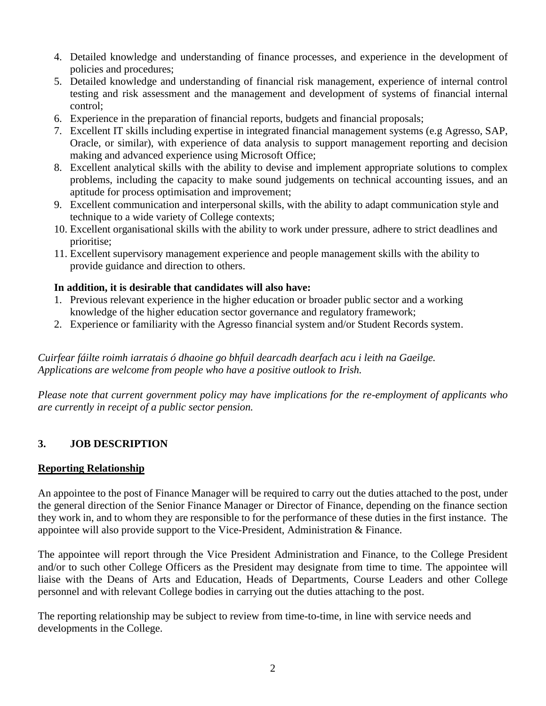- 4. Detailed knowledge and understanding of finance processes, and experience in the development of policies and procedures;
- 5. Detailed knowledge and understanding of financial risk management, experience of internal control testing and risk assessment and the management and development of systems of financial internal control;
- 6. Experience in the preparation of financial reports, budgets and financial proposals;
- 7. Excellent IT skills including expertise in integrated financial management systems (e.g Agresso, SAP, Oracle, or similar), with experience of data analysis to support management reporting and decision making and advanced experience using Microsoft Office;
- 8. Excellent analytical skills with the ability to devise and implement appropriate solutions to complex problems, including the capacity to make sound judgements on technical accounting issues, and an aptitude for process optimisation and improvement;
- 9. Excellent communication and interpersonal skills, with the ability to adapt communication style and technique to a wide variety of College contexts;
- 10. Excellent organisational skills with the ability to work under pressure, adhere to strict deadlines and prioritise;
- 11. Excellent supervisory management experience and people management skills with the ability to provide guidance and direction to others.

#### **In addition, it is desirable that candidates will also have:**

- 1. Previous relevant experience in the higher education or broader public sector and a working knowledge of the higher education sector governance and regulatory framework;
- 2. Experience or familiarity with the Agresso financial system and/or Student Records system.

*Cuirfear fáilte roimh iarratais ó dhaoine go bhfuil dearcadh dearfach acu i leith na Gaeilge. Applications are welcome from people who have a positive outlook to Irish.*

*Please note that current government policy may have implications for the re-employment of applicants who are currently in receipt of a public sector pension.*

# **3. JOB DESCRIPTION**

#### **Reporting Relationship**

An appointee to the post of Finance Manager will be required to carry out the duties attached to the post, under the general direction of the Senior Finance Manager or Director of Finance, depending on the finance section they work in, and to whom they are responsible to for the performance of these duties in the first instance. The appointee will also provide support to the Vice-President, Administration & Finance.

The appointee will report through the Vice President Administration and Finance, to the College President and/or to such other College Officers as the President may designate from time to time. The appointee will liaise with the Deans of Arts and Education, Heads of Departments, Course Leaders and other College personnel and with relevant College bodies in carrying out the duties attaching to the post.

The reporting relationship may be subject to review from time-to-time, in line with service needs and developments in the College.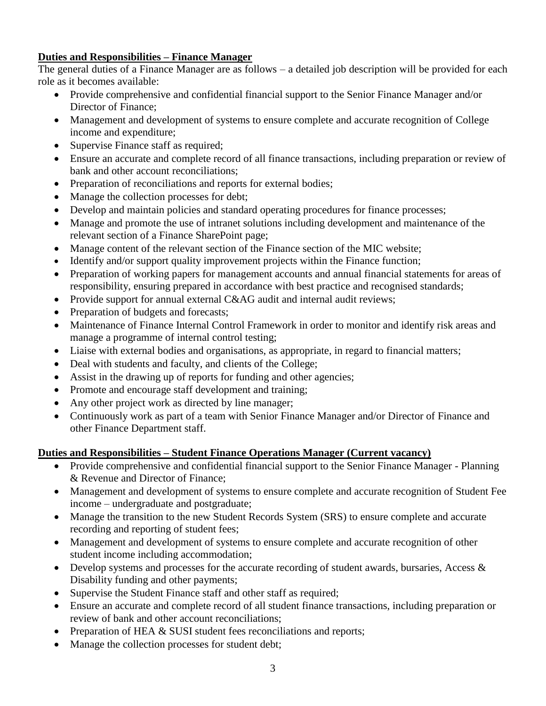# **Duties and Responsibilities – Finance Manager**

The general duties of a Finance Manager are as follows – a detailed job description will be provided for each role as it becomes available:

- Provide comprehensive and confidential financial support to the Senior Finance Manager and/or Director of Finance;
- Management and development of systems to ensure complete and accurate recognition of College income and expenditure;
- Supervise Finance staff as required;
- Ensure an accurate and complete record of all finance transactions, including preparation or review of bank and other account reconciliations;
- Preparation of reconciliations and reports for external bodies;
- Manage the collection processes for debt;
- Develop and maintain policies and standard operating procedures for finance processes;
- Manage and promote the use of intranet solutions including development and maintenance of the relevant section of a Finance SharePoint page;
- Manage content of the relevant section of the Finance section of the MIC website;
- Identify and/or support quality improvement projects within the Finance function;
- Preparation of working papers for management accounts and annual financial statements for areas of responsibility, ensuring prepared in accordance with best practice and recognised standards;
- Provide support for annual external C&AG audit and internal audit reviews;
- Preparation of budgets and forecasts;
- Maintenance of Finance Internal Control Framework in order to monitor and identify risk areas and manage a programme of internal control testing;
- Liaise with external bodies and organisations, as appropriate, in regard to financial matters;
- Deal with students and faculty, and clients of the College;
- Assist in the drawing up of reports for funding and other agencies;
- Promote and encourage staff development and training;
- Any other project work as directed by line manager;
- Continuously work as part of a team with Senior Finance Manager and/or Director of Finance and other Finance Department staff.

# **Duties and Responsibilities – Student Finance Operations Manager (Current vacancy)**

- Provide comprehensive and confidential financial support to the Senior Finance Manager Planning & Revenue and Director of Finance;
- Management and development of systems to ensure complete and accurate recognition of Student Fee income – undergraduate and postgraduate;
- Manage the transition to the new Student Records System (SRS) to ensure complete and accurate recording and reporting of student fees;
- Management and development of systems to ensure complete and accurate recognition of other student income including accommodation;
- Develop systems and processes for the accurate recording of student awards, bursaries, Access & Disability funding and other payments;
- Supervise the Student Finance staff and other staff as required;
- Ensure an accurate and complete record of all student finance transactions, including preparation or review of bank and other account reconciliations;
- Preparation of HEA & SUSI student fees reconciliations and reports;
- Manage the collection processes for student debt;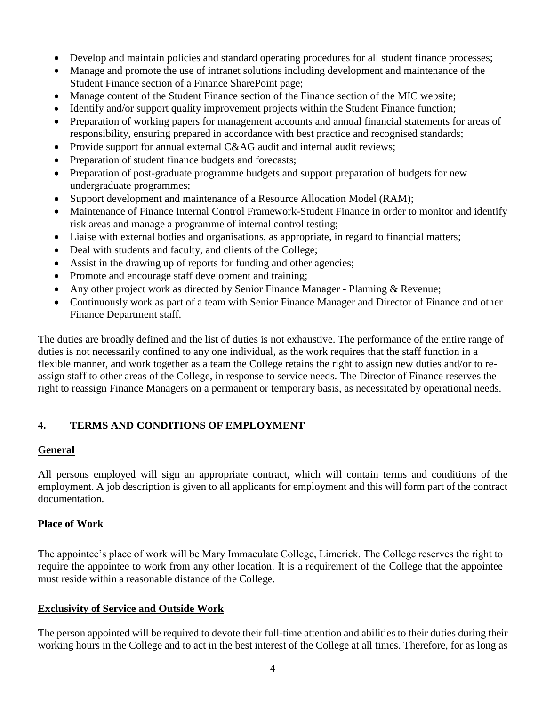- Develop and maintain policies and standard operating procedures for all student finance processes;
- Manage and promote the use of intranet solutions including development and maintenance of the Student Finance section of a Finance SharePoint page;
- Manage content of the Student Finance section of the Finance section of the MIC website;
- Identify and/or support quality improvement projects within the Student Finance function;
- Preparation of working papers for management accounts and annual financial statements for areas of responsibility, ensuring prepared in accordance with best practice and recognised standards;
- Provide support for annual external C&AG audit and internal audit reviews;
- Preparation of student finance budgets and forecasts;
- Preparation of post-graduate programme budgets and support preparation of budgets for new undergraduate programmes;
- Support development and maintenance of a Resource Allocation Model (RAM);
- Maintenance of Finance Internal Control Framework-Student Finance in order to monitor and identify risk areas and manage a programme of internal control testing;
- Liaise with external bodies and organisations, as appropriate, in regard to financial matters;
- Deal with students and faculty, and clients of the College;
- Assist in the drawing up of reports for funding and other agencies;
- Promote and encourage staff development and training;
- Any other project work as directed by Senior Finance Manager Planning & Revenue;
- Continuously work as part of a team with Senior Finance Manager and Director of Finance and other Finance Department staff.

The duties are broadly defined and the list of duties is not exhaustive. The performance of the entire range of duties is not necessarily confined to any one individual, as the work requires that the staff function in a flexible manner, and work together as a team the College retains the right to assign new duties and/or to reassign staff to other areas of the College, in response to service needs. The Director of Finance reserves the right to reassign Finance Managers on a permanent or temporary basis, as necessitated by operational needs.

# **4. TERMS AND CONDITIONS OF EMPLOYMENT**

#### **General**

All persons employed will sign an appropriate contract, which will contain terms and conditions of the employment. A job description is given to all applicants for employment and this will form part of the contract documentation.

# **Place of Work**

The appointee's place of work will be Mary Immaculate College, Limerick. The College reserves the right to require the appointee to work from any other location. It is a requirement of the College that the appointee must reside within a reasonable distance of the College.

# **Exclusivity of Service and Outside Work**

The person appointed will be required to devote their full-time attention and abilities to their duties during their working hours in the College and to act in the best interest of the College at all times. Therefore, for as long as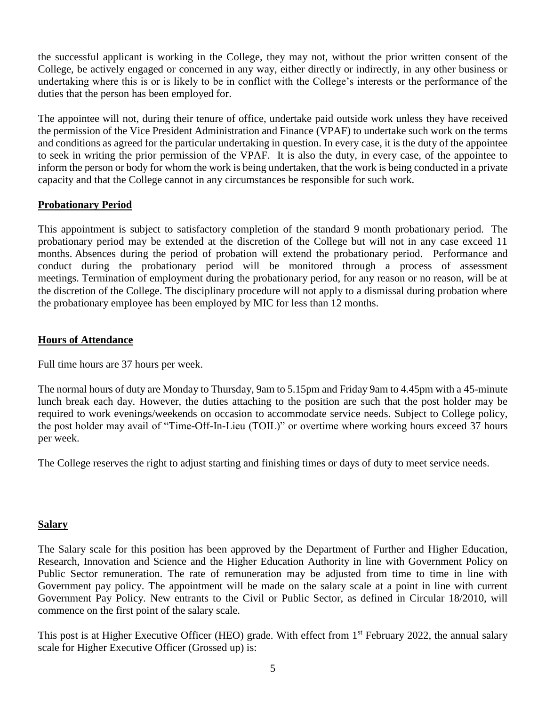the successful applicant is working in the College, they may not, without the prior written consent of the College, be actively engaged or concerned in any way, either directly or indirectly, in any other business or undertaking where this is or is likely to be in conflict with the College's interests or the performance of the duties that the person has been employed for.

The appointee will not, during their tenure of office, undertake paid outside work unless they have received the permission of the Vice President Administration and Finance (VPAF) to undertake such work on the terms and conditions as agreed for the particular undertaking in question. In every case, it is the duty of the appointee to seek in writing the prior permission of the VPAF. It is also the duty, in every case, of the appointee to inform the person or body for whom the work is being undertaken, that the work is being conducted in a private capacity and that the College cannot in any circumstances be responsible for such work.

#### **Probationary Period**

This appointment is subject to satisfactory completion of the standard 9 month probationary period. The probationary period may be extended at the discretion of the College but will not in any case exceed 11 months. Absences during the period of probation will extend the probationary period. Performance and conduct during the probationary period will be monitored through a process of assessment meetings. Termination of employment during the probationary period, for any reason or no reason, will be at the discretion of the College. The disciplinary procedure will not apply to a dismissal during probation where the probationary employee has been employed by MIC for less than 12 months.

#### **Hours of Attendance**

Full time hours are 37 hours per week.

The normal hours of duty are Monday to Thursday, 9am to 5.15pm and Friday 9am to 4.45pm with a 45-minute lunch break each day. However, the duties attaching to the position are such that the post holder may be required to work evenings/weekends on occasion to accommodate service needs. Subject to College policy, the post holder may avail of "Time-Off-In-Lieu (TOIL)" or overtime where working hours exceed 37 hours per week.

The College reserves the right to adjust starting and finishing times or days of duty to meet service needs.

#### **Salary**

The Salary scale for this position has been approved by the Department of Further and Higher Education, Research, Innovation and Science and the Higher Education Authority in line with Government Policy on Public Sector remuneration. The rate of remuneration may be adjusted from time to time in line with Government pay policy. The appointment will be made on the salary scale at a point in line with current Government Pay Policy. New entrants to the Civil or Public Sector, as defined in Circular 18/2010, will commence on the first point of the salary scale.

This post is at Higher Executive Officer (HEO) grade. With effect from 1<sup>st</sup> February 2022, the annual salary scale for Higher Executive Officer (Grossed up) is: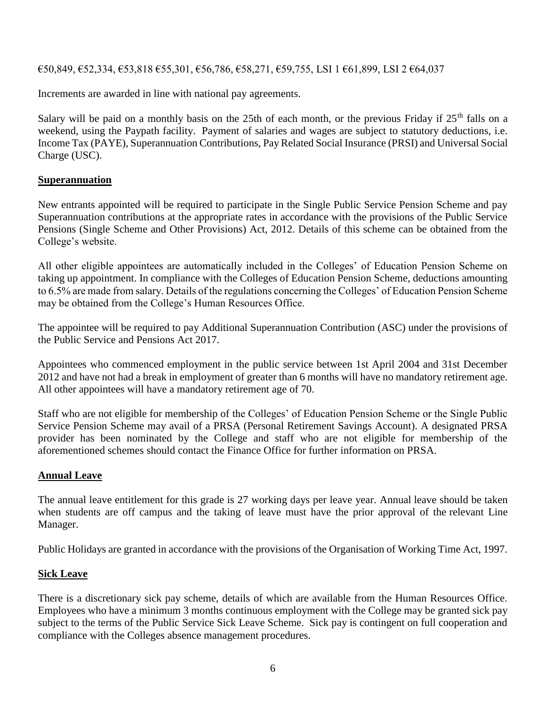€50,849, €52,334, €53,818 €55,301, €56,786, €58,271, €59,755, LSI 1 €61,899, LSI 2 €64,037

Increments are awarded in line with national pay agreements.

Salary will be paid on a monthly basis on the 25th of each month, or the previous Friday if  $25<sup>th</sup>$  falls on a weekend, using the Paypath facility. Payment of salaries and wages are subject to statutory deductions, i.e. Income Tax (PAYE), Superannuation Contributions, Pay Related Social Insurance (PRSI) and Universal Social Charge (USC).

#### **Superannuation**

New entrants appointed will be required to participate in the Single Public Service Pension Scheme and pay Superannuation contributions at the appropriate rates in accordance with the provisions of the Public Service Pensions (Single Scheme and Other Provisions) Act, 2012. Details of this scheme can be obtained from the College's website.

All other eligible appointees are automatically included in the Colleges' of Education Pension Scheme on taking up appointment. In compliance with the Colleges of Education Pension Scheme, deductions amounting to 6.5% are made from salary. Details of the regulations concerning the Colleges' of Education Pension Scheme may be obtained from the College's Human Resources Office.

The appointee will be required to pay Additional Superannuation Contribution (ASC) under the provisions of the Public Service and Pensions Act 2017.

Appointees who commenced employment in the public service between 1st April 2004 and 31st December 2012 and have not had a break in employment of greater than 6 months will have no mandatory retirement age. All other appointees will have a mandatory retirement age of 70.

Staff who are not eligible for membership of the Colleges' of Education Pension Scheme or the Single Public Service Pension Scheme may avail of a PRSA (Personal Retirement Savings Account). A designated PRSA provider has been nominated by the College and staff who are not eligible for membership of the aforementioned schemes should contact the Finance Office for further information on PRSA.

#### **Annual Leave**

The annual leave entitlement for this grade is 27 working days per leave year. Annual leave should be taken when students are off campus and the taking of leave must have the prior approval of the relevant Line Manager.

Public Holidays are granted in accordance with the provisions of the Organisation of Working Time Act, 1997.

#### **Sick Leave**

There is a discretionary sick pay scheme, details of which are available from the Human Resources Office. Employees who have a minimum 3 months continuous employment with the College may be granted sick pay subject to the terms of the Public Service Sick Leave Scheme. Sick pay is contingent on full cooperation and compliance with the Colleges absence management procedures.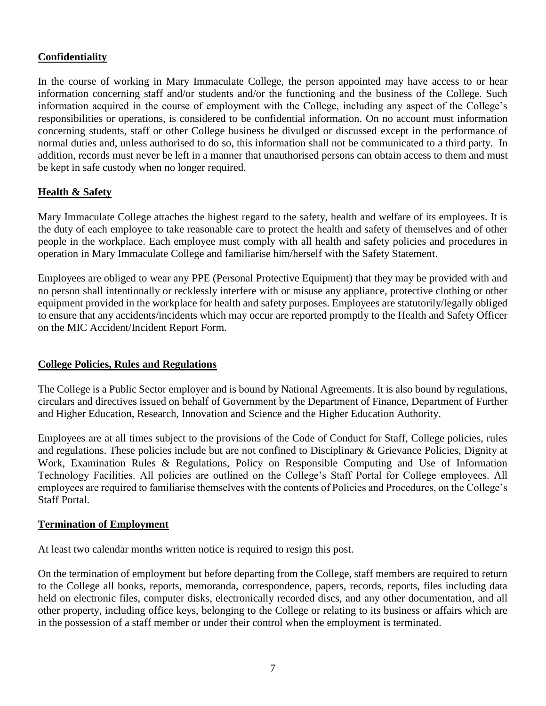#### **Confidentiality**

In the course of working in Mary Immaculate College, the person appointed may have access to or hear information concerning staff and/or students and/or the functioning and the business of the College. Such information acquired in the course of employment with the College, including any aspect of the College's responsibilities or operations, is considered to be confidential information. On no account must information concerning students, staff or other College business be divulged or discussed except in the performance of normal duties and, unless authorised to do so, this information shall not be communicated to a third party. In addition, records must never be left in a manner that unauthorised persons can obtain access to them and must be kept in safe custody when no longer required.

#### **Health & Safety**

Mary Immaculate College attaches the highest regard to the safety, health and welfare of its employees. It is the duty of each employee to take reasonable care to protect the health and safety of themselves and of other people in the workplace. Each employee must comply with all health and safety policies and procedures in operation in Mary Immaculate College and familiarise him/herself with the Safety Statement.

Employees are obliged to wear any PPE (Personal Protective Equipment) that they may be provided with and no person shall intentionally or recklessly interfere with or misuse any appliance, protective clothing or other equipment provided in the workplace for health and safety purposes. Employees are statutorily/legally obliged to ensure that any accidents/incidents which may occur are reported promptly to the Health and Safety Officer on the MIC Accident/Incident Report Form.

#### **College Policies, Rules and Regulations**

The College is a Public Sector employer and is bound by National Agreements. It is also bound by regulations, circulars and directives issued on behalf of Government by the Department of Finance, Department of Further and Higher Education, Research, Innovation and Science and the Higher Education Authority.

Employees are at all times subject to the provisions of the Code of Conduct for Staff, College policies, rules and regulations. These policies include but are not confined to Disciplinary & Grievance Policies, Dignity at Work, Examination Rules & Regulations, Policy on Responsible Computing and Use of Information Technology Facilities. All policies are outlined on the College's Staff Portal for College employees. All employees are required to familiarise themselves with the contents of Policies and Procedures, on the College's Staff Portal.

#### **Termination of Employment**

At least two calendar months written notice is required to resign this post.

On the termination of employment but before departing from the College, staff members are required to return to the College all books, reports, memoranda, correspondence, papers, records, reports, files including data held on electronic files, computer disks, electronically recorded discs, and any other documentation, and all other property, including office keys, belonging to the College or relating to its business or affairs which are in the possession of a staff member or under their control when the employment is terminated.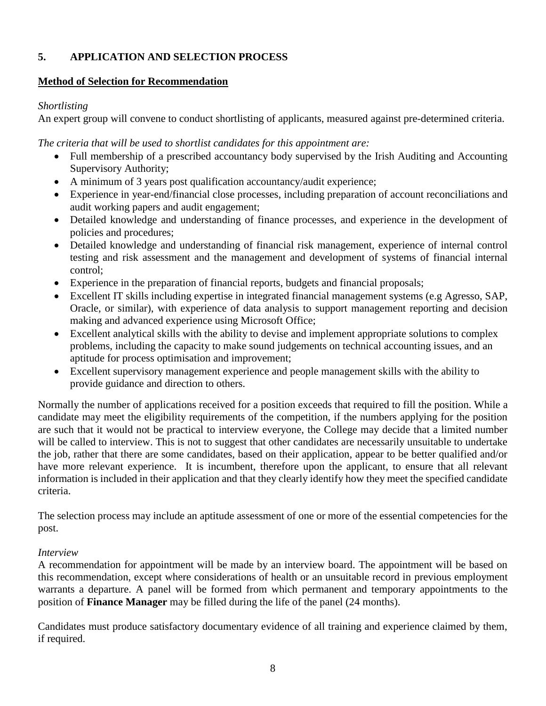# **5. APPLICATION AND SELECTION PROCESS**

#### **Method of Selection for Recommendation**

#### *Shortlisting*

An expert group will convene to conduct shortlisting of applicants, measured against pre-determined criteria.

*The criteria that will be used to shortlist candidates for this appointment are:*

- Full membership of a prescribed accountancy body supervised by the Irish Auditing and Accounting Supervisory Authority;
- A minimum of 3 years post qualification accountancy/audit experience;
- Experience in year-end/financial close processes, including preparation of account reconciliations and audit working papers and audit engagement;
- Detailed knowledge and understanding of finance processes, and experience in the development of policies and procedures;
- Detailed knowledge and understanding of financial risk management, experience of internal control testing and risk assessment and the management and development of systems of financial internal control;
- Experience in the preparation of financial reports, budgets and financial proposals;
- Excellent IT skills including expertise in integrated financial management systems (e.g Agresso, SAP, Oracle, or similar), with experience of data analysis to support management reporting and decision making and advanced experience using Microsoft Office;
- Excellent analytical skills with the ability to devise and implement appropriate solutions to complex problems, including the capacity to make sound judgements on technical accounting issues, and an aptitude for process optimisation and improvement;
- Excellent supervisory management experience and people management skills with the ability to provide guidance and direction to others.

Normally the number of applications received for a position exceeds that required to fill the position. While a candidate may meet the eligibility requirements of the competition, if the numbers applying for the position are such that it would not be practical to interview everyone, the College may decide that a limited number will be called to interview. This is not to suggest that other candidates are necessarily unsuitable to undertake the job, rather that there are some candidates, based on their application, appear to be better qualified and/or have more relevant experience. It is incumbent, therefore upon the applicant, to ensure that all relevant information is included in their application and that they clearly identify how they meet the specified candidate criteria.

The selection process may include an aptitude assessment of one or more of the essential competencies for the post.

#### *Interview*

A recommendation for appointment will be made by an interview board. The appointment will be based on this recommendation, except where considerations of health or an unsuitable record in previous employment warrants a departure. A panel will be formed from which permanent and temporary appointments to the position of **Finance Manager** may be filled during the life of the panel (24 months).

Candidates must produce satisfactory documentary evidence of all training and experience claimed by them, if required.